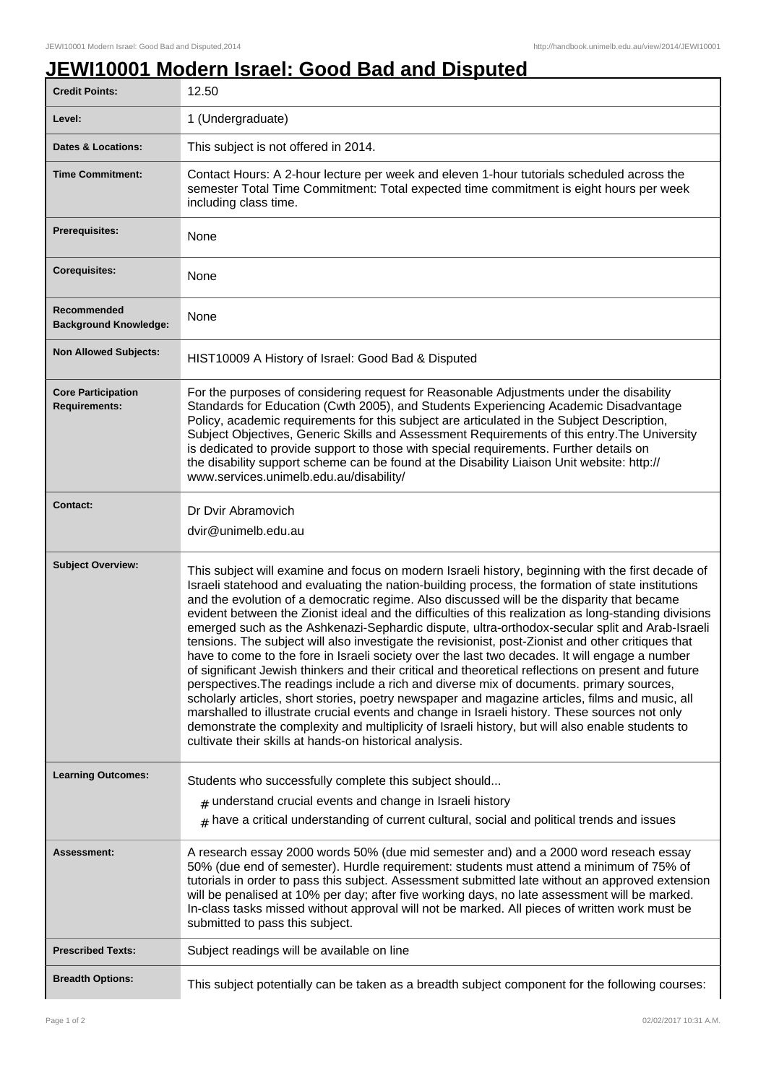## **JEWI10001 Modern Israel: Good Bad and Disputed**

| <b>Credit Points:</b>                             | 12.50                                                                                                                                                                                                                                                                                                                                                                                                                                                                                                                                                                                                                                                                                                                                                                                                                                                                                                                                                                                                                                                                                                                                                                                                                                                                                         |
|---------------------------------------------------|-----------------------------------------------------------------------------------------------------------------------------------------------------------------------------------------------------------------------------------------------------------------------------------------------------------------------------------------------------------------------------------------------------------------------------------------------------------------------------------------------------------------------------------------------------------------------------------------------------------------------------------------------------------------------------------------------------------------------------------------------------------------------------------------------------------------------------------------------------------------------------------------------------------------------------------------------------------------------------------------------------------------------------------------------------------------------------------------------------------------------------------------------------------------------------------------------------------------------------------------------------------------------------------------------|
| Level:                                            | 1 (Undergraduate)                                                                                                                                                                                                                                                                                                                                                                                                                                                                                                                                                                                                                                                                                                                                                                                                                                                                                                                                                                                                                                                                                                                                                                                                                                                                             |
| <b>Dates &amp; Locations:</b>                     | This subject is not offered in 2014.                                                                                                                                                                                                                                                                                                                                                                                                                                                                                                                                                                                                                                                                                                                                                                                                                                                                                                                                                                                                                                                                                                                                                                                                                                                          |
| <b>Time Commitment:</b>                           | Contact Hours: A 2-hour lecture per week and eleven 1-hour tutorials scheduled across the<br>semester Total Time Commitment: Total expected time commitment is eight hours per week<br>including class time.                                                                                                                                                                                                                                                                                                                                                                                                                                                                                                                                                                                                                                                                                                                                                                                                                                                                                                                                                                                                                                                                                  |
| <b>Prerequisites:</b>                             | None                                                                                                                                                                                                                                                                                                                                                                                                                                                                                                                                                                                                                                                                                                                                                                                                                                                                                                                                                                                                                                                                                                                                                                                                                                                                                          |
| <b>Corequisites:</b>                              | None                                                                                                                                                                                                                                                                                                                                                                                                                                                                                                                                                                                                                                                                                                                                                                                                                                                                                                                                                                                                                                                                                                                                                                                                                                                                                          |
| Recommended<br><b>Background Knowledge:</b>       | None                                                                                                                                                                                                                                                                                                                                                                                                                                                                                                                                                                                                                                                                                                                                                                                                                                                                                                                                                                                                                                                                                                                                                                                                                                                                                          |
| <b>Non Allowed Subjects:</b>                      | HIST10009 A History of Israel: Good Bad & Disputed                                                                                                                                                                                                                                                                                                                                                                                                                                                                                                                                                                                                                                                                                                                                                                                                                                                                                                                                                                                                                                                                                                                                                                                                                                            |
| <b>Core Participation</b><br><b>Requirements:</b> | For the purposes of considering request for Reasonable Adjustments under the disability<br>Standards for Education (Cwth 2005), and Students Experiencing Academic Disadvantage<br>Policy, academic requirements for this subject are articulated in the Subject Description,<br>Subject Objectives, Generic Skills and Assessment Requirements of this entry. The University<br>is dedicated to provide support to those with special requirements. Further details on<br>the disability support scheme can be found at the Disability Liaison Unit website: http://<br>www.services.unimelb.edu.au/disability/                                                                                                                                                                                                                                                                                                                                                                                                                                                                                                                                                                                                                                                                              |
| <b>Contact:</b>                                   | Dr Dvir Abramovich<br>dvir@unimelb.edu.au                                                                                                                                                                                                                                                                                                                                                                                                                                                                                                                                                                                                                                                                                                                                                                                                                                                                                                                                                                                                                                                                                                                                                                                                                                                     |
| <b>Subject Overview:</b>                          | This subject will examine and focus on modern Israeli history, beginning with the first decade of<br>Israeli statehood and evaluating the nation-building process, the formation of state institutions<br>and the evolution of a democratic regime. Also discussed will be the disparity that became<br>evident between the Zionist ideal and the difficulties of this realization as long-standing divisions<br>emerged such as the Ashkenazi-Sephardic dispute, ultra-orthodox-secular split and Arab-Israeli<br>tensions. The subject will also investigate the revisionist, post-Zionist and other critiques that<br>have to come to the fore in Israeli society over the last two decades. It will engage a number<br>of significant Jewish thinkers and their critical and theoretical reflections on present and future<br>perspectives. The readings include a rich and diverse mix of documents. primary sources,<br>scholarly articles, short stories, poetry newspaper and magazine articles, films and music, all<br>marshalled to illustrate crucial events and change in Israeli history. These sources not only<br>demonstrate the complexity and multiplicity of Israeli history, but will also enable students to<br>cultivate their skills at hands-on historical analysis. |
| <b>Learning Outcomes:</b>                         | Students who successfully complete this subject should<br>$#$ understand crucial events and change in Israeli history                                                                                                                                                                                                                                                                                                                                                                                                                                                                                                                                                                                                                                                                                                                                                                                                                                                                                                                                                                                                                                                                                                                                                                         |
|                                                   | $#$ have a critical understanding of current cultural, social and political trends and issues                                                                                                                                                                                                                                                                                                                                                                                                                                                                                                                                                                                                                                                                                                                                                                                                                                                                                                                                                                                                                                                                                                                                                                                                 |
| <b>Assessment:</b>                                | A research essay 2000 words 50% (due mid semester and) and a 2000 word reseach essay<br>50% (due end of semester). Hurdle requirement: students must attend a minimum of 75% of<br>tutorials in order to pass this subject. Assessment submitted late without an approved extension<br>will be penalised at 10% per day; after five working days, no late assessment will be marked.<br>In-class tasks missed without approval will not be marked. All pieces of written work must be<br>submitted to pass this subject.                                                                                                                                                                                                                                                                                                                                                                                                                                                                                                                                                                                                                                                                                                                                                                      |
| <b>Prescribed Texts:</b>                          | Subject readings will be available on line                                                                                                                                                                                                                                                                                                                                                                                                                                                                                                                                                                                                                                                                                                                                                                                                                                                                                                                                                                                                                                                                                                                                                                                                                                                    |
| <b>Breadth Options:</b>                           | This subject potentially can be taken as a breadth subject component for the following courses:                                                                                                                                                                                                                                                                                                                                                                                                                                                                                                                                                                                                                                                                                                                                                                                                                                                                                                                                                                                                                                                                                                                                                                                               |